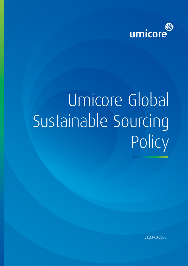

# Umicore Global Sustainable Sourcing Policy

V1.23-03-2022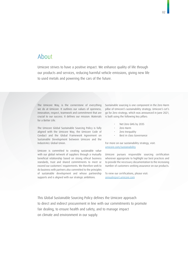# About

Umicore strives to have a positive impact. We enhance quality of life through our products and services, reducing harmful vehicle emissions, giving new life to used metals and powering the cars of the future.

The Umicore Way, is the cornerstone of everything we do at Umicore. It outlines our values of openness, innovation, respect, teamwork and commitment that are crucial to our success. It defines our mission: Materials for a Better Life.

The Umicore Global Sustainable Sourcing Policy is fully aligned with the Umicore Way, the Umicore Code of Conduct and the Global Framework Agreement on Sustainable Development between Umicore and the IndustriALL Global Union.

Umicore is committed to creating sustainable value with our global network of suppliers through a mutually beneficial relationship based on strong ethical business standards, trust and shared commitments to meet or exceed our customers' requirements. We therefore seek to do business with partners also committed to the principles of sustainable development and whose partnership supports and is aligned with our strategic ambitions.

Sustainable sourcing is one component in the Zero Harm pillar of Umicore's sustainability strategy. Umicore's Let's go for Zero strategy, which was announced in June 2021, is built using the following key pillars:

- Net Zero GHG by 2035
- Zero Harm
- Zero Inequality
- Best in class Governance

For more on our sustainability strategy, visit: [umicore.com/sustainability](https://www.umicore.com/sustainability)

Umicore pursues responsible sourcing certification wherever appropriate to highlight our best practices and to provide the necessary documentation to the increasing number of customers seeking assurance on our products.

To view our certifications, please visit: [annualreport.umicore.com](https://annualreport.umicore.com/en/2020)

This Global Sustainable Sourcing Policy defines the Umicore approach to direct and indirect procurement in line with our commitments to promote fair dealing, to ensure health and safety, and to manage impact on climate and environment in our supply.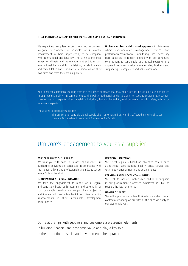#### THESE PRINCIPLES ARE APPLICABLE TO ALL OUR SUPPLIERS, AS A MINIMUM:

We expect our suppliers to be committed to business integrity, to promote the principles of sustainable procurement in their supply chain, to be compliant with international and local laws, to strive to minimize impact on climate and the environment and to respect international human rights legislation, to abolish child and forced labor and eliminate discrimination on their own sites and from their own suppliers.

Umicore utilizes a risk-based approach to determine where documentation, management systems and performance/compliance monitoring are necessary from suppliers to remain aligned with our continued commitment to sustainable and ethical sourcing. This approach includes considerations on size, business and supplier type, complexity and risk environment.

Additional considerations resulting from this risk-based approach that may apply for specific suppliers are highlighted throughout this Policy. In complement to this Policy, additional guidance exists for specific sourcing approaches, covering various aspects of sustainability including, but not limited to, environmental, health, safety, ethical or regulatory aspects.

These specific approaches include:

- [The Umicore Responsible Global Supply Chain of Minerals from Conflict Affected & High-Risk Areas](https://www.umicore.com/storage/main/responsiblesupplychainpolicy.pdf)
- [Umicore Sustainable Procurement Framework for Cobalt](https://www.umicore.com/storage/group/sustainablecobaltsupplybrochurefinal.pdf)

# Umicore's engagement to you as a supplier

#### FAIR DEALING WITH SUPPLIERS

We treat you with honesty, fairness and respect. Our purchasing activities are conducted in accordance with the highest ethical and professional standards, as set out in our Code of Conduct.

#### TRANSPARENCY & COMMUNICATION

We take the engagement to report on a regular and consistent basis, both internally and externally, on our sustainable development supply chain project. In addition, we will provide feedback to suppliers regarding improvements in their sustainable development performance.

#### IMPARTIAL SELECTION

We select suppliers based on objective criteria such as technical specifications, quality, price, service and technology, environmental and social impact.

#### RELATIONS WITH LOCAL COMMUNITIES

We seek to include smaller-sized and local suppliers in our procurement processes, wherever possible, to support the local economy.

#### HEALTH & SAFETY

We will apply the same health & safety standards to all contractors working on our sites as the ones we apply to our own employees.

Our relationships with suppliers and customers are essential elements in building financial and economic value and play a key role in the promotion of social and environmental best practice.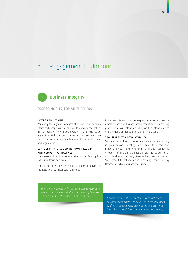### Your engagement to Umicore

# **Business Integrity**

CORE PRINCIPLES, FOR ALL SUPPLIERS

#### LAWS & REGULATIONS

You apply the highest standards of business and personal ethics and comply with all applicable laws and regulations in the countries where you operate. These include, but are not limited to export control regulations, economic sanctions, anti-money laundering and competition laws and regulations.

#### CONFLICT OF INTEREST, CORRUPTION, FRAUD & ANTI-COMPETITIVE PRACTICES

You are committed to work against all forms of corruption, extortion, fraud and bribery.

You do not offer any benefit to Umicore employees to facilitate your business with Umicore.

If you execute works at the request of or for an Umicore employee involved in any procurement decision-making process, you will inform and disclose this information to the site general management prior to execution.

#### TRANSPARENCY & ACCOUNTABILITY

You are committed to transparency and accountability in your business dealings and strive to detect and prevent illegal and unethical activities conducted through commercial transactions via the screening of your business partners, transactions and materials. You commit to collaborate in screenings conducted by Umicore of which you are the subject.

*We strongly advocate for our suppliers to foresee a process for their stakeholders to report grievances and ensure an anti-retaliation mechanism. Umicore invites all stakeholders to report concerns* 

*or complaints about Umicore's business approach, or that of its suppliers, using our [Grievance contact](https://www.umicore.com/en/contact/) [form.](https://www.umicore.com/en/contact/) Such complaints can be made anonymously.*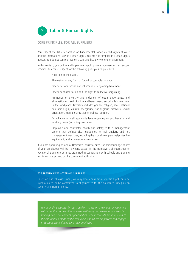# 2 Labor & Human Rights

#### CORE PRINCIPLES, FOR ALL SUPPLIERS

You respect the ILO's Declaration on Fundamental Principles and Rights at Work and the international law on Human Rights. You are not complicit in Human Rights abuses. You do not compromise on a safe and healthy working environment.

In this context, you define and implement a policy, a management system and/or practices to ensure respect for the following principles on your sites:

- Abolition of child labor.
- Elimination of any form of forced or compulsory labor.
- Freedom from torture and inhumane or degrading treatment.
- Freedom of association and the right to collective bargaining.
- Promotion of diversity and inclusion, of equal opportunity, and elimination of discrimination and harassment, ensuring fair treatment in the workplace. Diversity includes gender, religion, race, national or ethnic origin, cultural background, social group, disability, sexual orientation, marital status, age or political opinion.
- Compliance with all applicable laws regarding wages, benefits and working hours (including overtime).
- Employee and contractor health and safety, with a management system that defines clear guidelines for risk analysis and risk management measures, including the provision of personal protective equipment, and an emergency response.

If you are operating on one of Umicore's industrial sites, the minimum age of any of your employees will be 18 years, except in the framework of internships or vocational training programs, organized in cooperation with schools and training institutes or approved by the competent authority.

#### FOR SPECIFIC RAW MATERIALS SUPPLIERS

Based on our risk assessment, we may also require from specific suppliers to be signatories to, or be committed to alignment with, the Voluntary Principles on Security and Human Rights.

*We strongly advocate for our suppliers to foster a working environment training and development opportunities, where rewards are in relation to the contribution made by the employee, and where employees can engage*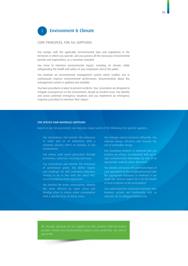

#### CORE PRINCIPLES, FOR ALL SUPPLIERS

You comply with the applicable environmental laws and regulations in the territories in which you operate, and you possess all the necessary environmental permits and registrations, as a minimum standard.

You strive to minimize environmental impact, including on climate, while safeguarding the health and safety of your employees and of the public.

You maintain an environmental management system which enables you to continuously improve environmental performance. Documentation about this management system is updated and available.

You have procedures in place to prevent incidents. Your procedures are designed to mitigate consequences on the environment, should an incident occur. You identify and assess potential emergency situations and you implement an emergency response procedure to minimize their impact.

#### FOR SPECIFIC RAW MATERIALS SUPPLIERS

Based on our risk assessment, we may also require some of the following from specific suppliers:

- You characterize and monitor the emissions  $\cdot$ to water and air of substances with a potential adverse effect on humans or the environment.
- You reduce solid waste generation through prevention, reduction, recycling and reuse.
- You characterize and monitor the emissions of greenhouse gases. You define targets and roadmaps for GHG emissions reduction, striving to be in line with the latest IPCC recommendation/Paris agreement.
- You monitor the water consumption, identify the areas affected by water stress and develop plans to reduce water consumption with a specific focus on these areas.
- You manage natural resources efficiently. You improve energy efficiency and increase the use of renewable energy.
- Any hazardous products or materials that you produce are always accompanied with up-todate environmental information by way of an appropriate material safety data sheet.
- You identify and assess the potential impact of your operations on the neighborhood and take the appropriate measures to minimize if not avoid any adverse impact be it on the health of local residents or the environment.
- You understand the connection between your business activity and biodiversity and, as relevant, act to safeguard biodiversity.

*We strongly advocate for our suppliers to offer products with the lowest possible climate and environmental impacts from production, use and at end-of-life.*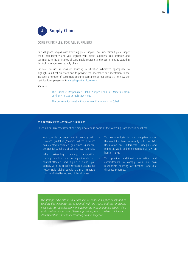

#### CORE PRINCIPLES, FOR ALL SUPPLIERS

Due diligence begins with knowing your supplier. You understand your supply chain. You identify and you register your direct suppliers. You promote and communicate the principles of sustainable sourcing and procurement as stated in this Policy in your own supply chain.

Umicore pursues responsible sourcing certification wherever appropriate to highlight our best practices and to provide the necessary documentation to the increasing number of customers seeking assurance on our products. To view our certifications, please visit: [annualreport.umicore.com](https://annualreport.umicore.com/en/2020).

See also:

- [The Umicore Responsible Global Supply Chain of Minerals from](https://www.umicore.com/storage/main/responsiblesupplychainpolicy.pdf)  [Conflict Affected & High-Risk Areas](https://www.umicore.com/storage/main/responsiblesupplychainpolicy.pdf)
- [The Umicore Sustainable Procurement Framework for Cobalt](https://www.umicore.com/storage/group/sustainablecobaltsupplybrochurefinal.pdf)

#### FOR SPECIFIC RAW MATERIALS SUPPLIERS

Based on our risk assessment, we may also require some of the following from specific suppliers:

- You comply or undertake to comply with  $\cdot$ Umicore guidelines/policies where Umicore has created dedicated guidelines, guidance, policies for suppliers of specific raw materials.
- When extracting, sourcing, transporting, trading, handling or exporting minerals from conflict-affected and high-risk areas, you comply with the specific Umicore guidance for Responsible global supply chain of minerals from conflict-affected and high-risk areas.
- You communicate to your suppliers about the need for them to comply with the ILO's Declaration on Fundamental Principles and Rights at Work and the international law on human rights.
- You provide additional information and commitments to comply with our own responsible sourcing certifications and due diligence schemes.

*We strongly advocate for our suppliers to adopt a supplier policy and to*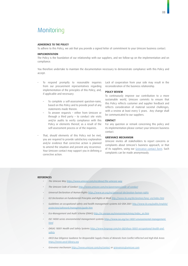# **Monitoring**

#### ADHERENCE TO THE POLICY

To adhere to this Policy, we ask that you provide a signed letter of commitment to your Umicore business contact.

#### IMPLEMENTATION

The Policy is the foundation of our relationship with our suppliers, and we follow-up on the implementation and on compliance.

You therefore undertake to maintain the documentation necessary to demonstrate compliance with this Policy and accept:

- To respond promptly to reasonable inquiries from our procurement representatives regarding implementation of the principles of this Policy, and, if applicable and necessary:
	- To complete a self-assessment question-naire, based on this Policy and to provide proof of any statements made therein.
	- To answer requests either from Umicore or through a third party – to conduct site visits and/or audits to verify compliance with this Policy or elements thereof, as a result of the self-assessment process or of the inquiries.
- That, should elements of this Policy not be met, you are required to provide satisfactory explanation and/or evidence that corrective action is planned to amend the situation and prevent any recurrence. Your Umicore contact may support you in defining a corrective action.

Lack of cooperation from your side may result in the reconsideration of the business relationship.

#### POLICY REVIEW

To continuously improve our contribution to a more sustainable world, Umicore commits to ensure that this Policy reflects customer and supplier feedback and reflects consideration of material societal challenges, with a review at least every 5 years. Any change shall be communicated to our suppliers.

#### **CONTACT**

For any question or remark concerning this policy and its implementation please contact your Umicore business contact.

#### GRIEVANCE MECHANISM

Umicore invites all stakeholders to report concerns or complaints about Umicore's business approach, or that of its suppliers, using our [Grievance contact form.](https://www.umicore.com/en/contact/) Such complaints can be made anonymously.

#### **REFERENCES**

- *• The Umicore Way <https://www.umicore.com/en/about/the-umicore-way>*
	- *• The Umicore Code of Conduct [http://www.umicore.com/en/governance/code-of-conduct](https://www.umicore.com/en/investors/governance/documents/code-of-conduct/)*
	- *• Universal Declaration of Human Rights [https://www.un.org/en/universal-declaration-human-rights](https://www.un.org/en/universal-declaration-human-rights/)*
- *• ILO Declaration on Fundamental Principles and Rights at Work <http://www.ilo.org/declaration/lang--en/index.htm>*
- *• Guidelines on occupational safety and health management systems ILO-OSH 2001 [http://www.ilo.org/public/english/](http://www.ilo.org/public/english/protection/safework/managmnt/guide.htm ) [protection/safework/managmnt/guide.htm](http://www.ilo.org/public/english/protection/safework/managmnt/guide.htm )*
- *• Eco-Management and Audit Scheme (EMAS) [http://ec.europa.eu/environment/emas/index\\_en.htm](https://ec.europa.eu/environment/emas/index_en.htm)*
- *• ISO 14000 series environmental management systems https://www.iso.org/iso-14001-environmental-management. html*
- *• OHSAS 18001 Health and Safety Systems [https://www.bsigroup.com/en-GB/ohsas-18001-occupational-health-and](https://www.bsigroup.com/en-GB/ohsas-18001-occupational-health-and-safety)[safety](https://www.bsigroup.com/en-GB/ohsas-18001-occupational-health-and-safety)*
- *• OECD Due Diligence Guidance for Responsible Supply Chains of Minerals from Conflict-Affected and High-Risk Areas <https://www.oecd-ilibrary.org>*
- *• Grievance mechanism [https://www.umicore.com/en/contact](https://www.umicore.com/en/contact/) or [grievances@umicore.com](mailto:grievances%40umicore.com?subject=)*